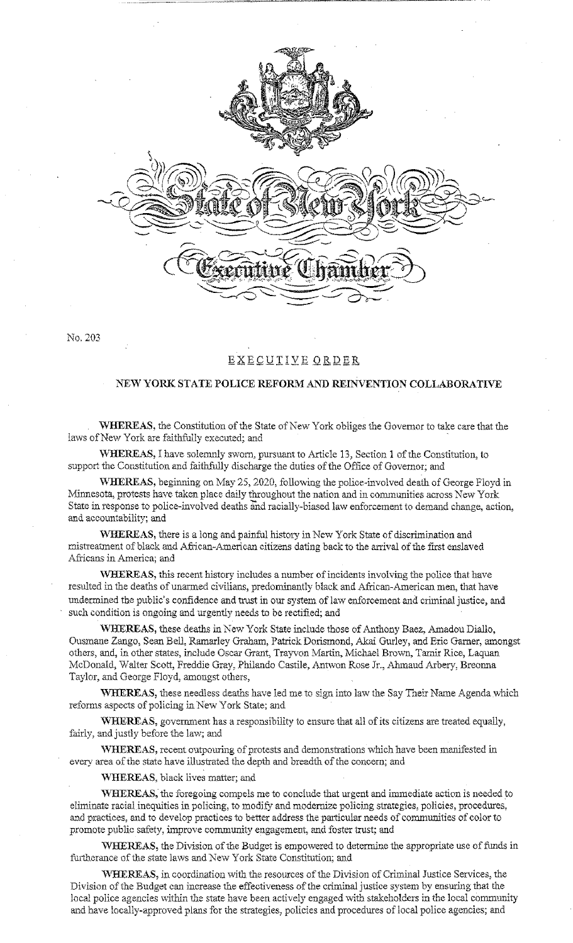

No. 203

## EXECUTIVE ORDER

## NEW YORK STATE POLICE REFORM AND REINVENTION COLLABORATIVE

**WHEREAS, the Constitution of the State of New York obliges the Governor to take care that the** laws of New York are faithfully executed; and

**\vlIEREAS,** I have solemnly sworn, pursuant to Article 13, Section 1 of the Constitution, to support the Constitution and faithfully discharge the duties of the Office of Governor; and

**'W1IEREAS,** beginning on May 25, 2020, following the police-involved death of George Floyd in Minnesota, protests have taken place daily throughout the nation and in communities across New York State in response to police-involved deaths and racially-biased law enforcement to demand change, action, and accountability; and

**WHEREAS,** there is a long and painful history in New York State of discrimination and mistreatment of black and African-American citizens dating back to the arrival of the first enslaved Africans in America; and

**WHEREAS,** this recent history includes a number of incidents involving the police that have resulted in the deaths of unarmed civilians, predominantly black and African-American men, that have undermined the public's confidence and trust in our system of law enforcement and criminal justice, and such condition is ongoing and urgently needs to be rectified; and

**\\IHEREAS,** these deaths in New York State include those of Anthony Baez, Amadon Diallo, Ousmane Zange, Sean Bell, Ramarley Graham, Patrick Dorismond, Akai Gurley, and Eric Gamer, amongst others, and, in other states, include Oscar Grant, Trayvon Martin, Michael Brown, Tamir Rice, Laquan McDonald, Walter Scott, Freddie Gray, Philando Castile, Antwon Rose Jr., Ahmaud Arbery, Breonna Taylor, and George Floyd, amongst others,

**WHEREAS,** these needless deaths have led me to sign into law the Say Tneir Name Agenda which reforms aspects of policing in New York State; and

WHEREAS, government has a responsibility to ensure that all of its citizens are treated equally, fairiy, and justly before the law; and

**,vHEREAS,** recent outpouring of protests and demonstrations which have been manifested in every area of the state have illustrated the depth and breadth of the concern; and

**WHEREAS,** black lives matter; and

**·wHEREAS;** the foregoing compels me to conclude that urgent and immediate action is needed to eliminate racial inequities in policing, to modify and modernize policing strategies, policies, procedures, and practices, and to develop practices to better address the particular needs of communities of color to promote public safety, improve conununity engagement, and foster trust; and

**WHEREAS,** the Division of the Budget is empowered to determine the appropriate use of funds in furtherance of the state laws and New York State Constitution; and

WHEREAS, in coordination with the resources of the Division of Criminal Justice Services, the Division of the Budget can increase the effectiveness of the criminal justice system by ensuring that the local police agencies within the state have been actively engaged with stakeholders in the local community and have locally-approved plans for the strategies, policies and procedures of local police agencies; and